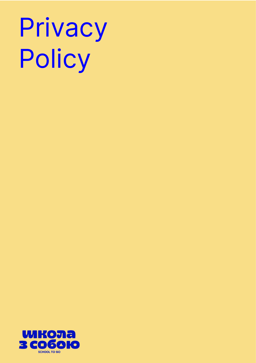# Privacy Policy

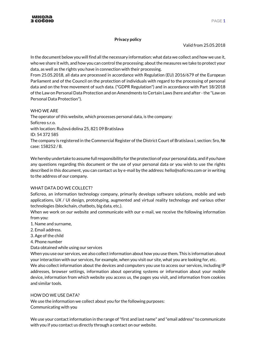# **Privacy policy**

Valid from 25.05.2018

In the document below you will find all the necessary information: what data we collect and how we use it, who we share it with, and how you can control the processing; about the measures we take to protect your data, as well as the rights you have in connection with their processing.

From 25.05.2018, all data are processed in accordance with Regulation (EU) 2016/679 of the European Parliament and of the Council on the protection of individuals with regard to the processing of personal data and on the free movement of such data. ("GDPR Regulation") and in accordance with Part 18/2018 of the Law on Personal Data Protection and on Amendments to Certain Laws (here and after -the "Law on Personal Data Protection").

# WHO WE ARE

The operator of this website, which processes personal data, is the company: Soficreo s.r.o. with location: Ružová dolina 25, 821 09 Bratislava ID: 54 372 585

The company is registered in the Commercial Register of the District Court of Bratislava I, section: Sro, № case: 158252 / B.

We hereby undertake to assume full responsibility for the protection of your personal data, and if you have any questions regarding this document or the use of your personal data or you wish to use the rights described in this document, you can contact us by e-mail by the address: hello@soficreo.com or in writing to the address of our company.

# WHAT DATA DO WE COLLECT?

Soficreo, an information technology company, primarily develops software solutions, mobile and web applications, UX / UI design, prototyping, augmented and virtual reality technology and various other technologies (blockchain, chatbots, big data, etc.).

When we work on our website and communicate with our e-mail, we receive the following information from you:

1. Name and surname,

- 2. Email address.
- 3. Age of the child
- 4. Phone number

Data obtained while using our services

When you use our services, we also collect information about how you use them. This is information about your interaction with our services, for example, when you visit our site, what you are looking for, etc. We also collect information about the devices and computers you use to access our services, including IP addresses, browser settings, information about operating systems or information about your mobile device, information from which website you access us, the pages you visit, and information from cookies and similar tools.

# HOW DO WE USE DATA?

We use the information we collect about you for the following purposes: Communicating with you

We use your contact information in the range of "first and last name" and "email address" to communicate with you if you contact us directly through a contact on our website.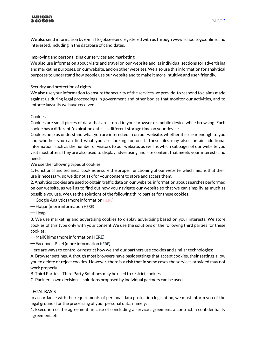

We also send information by e-mail to jobseekers registered with us through www.schooltogo.online, and interested, including in the database of candidates.

Improving and personalizing our services and marketing

We also use information about visits and travel on our website and its individual sections for advertising and marketing purposes, on our website, and on other websites. We also use this information for analytical purposes to understand how people use our website and to make it more intuitive and user-friendly.

Security and protection of rights

We also use your information to ensure the security of the services we provide, to respond to claims made against us during legal proceedings in government and other bodies that monitor our activities, and to enforce lawsuits we have received.

#### Cookies

Cookies are small pieces of data that are stored in your browser or mobile device while browsing. Each cookie has a different "expiration date" - a different storage time on your device.

Cookies help us understand what you are interested in on our website, whether it is clear enough to you and whether you can find what you are looking for on it. These files may also contain additional information, such as the number of visitors to our website, as well as which subpages of our website you visit most often. They are also used to display advertising and site content that meets your interests and needs.

We use the following types of cookies:

1. Functional and technical cookies ensure the proper functioning of our website, which means that their use is necessary, so we do not ask for your consent to store and access them.

2. Analytics cookies are used to obtain traffic data on our website, information about searches performed on our website, as well as to find out how you navigate our website so that we can simplify as much as possible you use. We use the solutions of the following third parties for these cookies:

━ Google Analytics (more information [HERE](https://support.google.com/analytics/topic/2919631?hl=sk&ref_topic=1008008))

━ Hotjar (more information [HERE](https://www.hotjar.com/legal/policies/privacy/))

━ Heap

3. We use marketing and advertising cookies to display advertising based on your interests. We store cookies of this type only with your consent.We use the solutions of the following third parties for these cookies:

━ MailChimp (more informatio[n HERE\)](https://www.intuit.com/privacy/statement/)

━ Facebook Pixel (more information [HERE](https://www.facebook.com/about/privacy/))

Here are ways to control or restrict how we and our partners use cookies and similar technologies:

A. Browser settings. Although most browsers have basic settings that accept cookies, their settings allow you to delete or reject cookies. However, there is a risk that in some cases the services provided may not work properly.

B. Third Parties - Third Party Solutions may be used to restrict cookies.

C. Partner's own decisions - solutions proposed by individual partners can be used.

#### LEGAL BASIS

In accordance with the requirements of personal data protection legislation, we must inform you of the legal grounds for the processing of your personal data, namely:

1. Execution of the agreement: in case of concluding a service agreement, a contract, a confidentiality agreement, etc.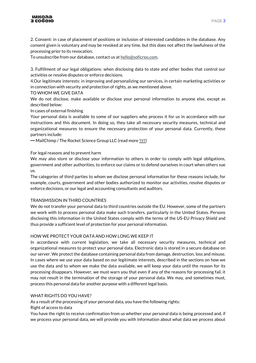

2. Consent: in case of placement of positions or inclusion of interested candidates in the database. Any consent given is voluntary and may be revoked at any time, but this does not affect the lawfulness of the processing prior to its revocation.

To unsubscribe from our database, contact us a[t hello@soficreo.com.](mailto:hello@soficreo.com)

3. Fulfillment of our legal obligations: when disclosing data to state and other bodies that control our activities or resolve disputes or enforce decisions.

4.Our legitimate interests: in improving and personalizing our services, in certain marketing activities or in connection with security and protection of rights, as we mentioned above.

## TO WHOM WE GIVE DATA

We do not disclose, make available or disclose your personal information to anyone else, except as described below:

## In cases of external finishing

Your personal data is available to some of our suppliers who process it for us in accordance with our instructions and this document. In doing so, they take all necessary security measures, technical and organizational measures to ensure the necessary protection of your personal data. Currently, these partners include:

 $-$  MailChimp / The Rocket Science Group LLC (read more TYT)

## For legal reasons and to prevent harm

We may also store or disclose your information to others in order to comply with legal obligations, government and other authorities, to enforce our claims or to defend ourselves in court when others sue us.

The categories of third parties to whom we disclose personal information for these reasons include, for example, courts, government and other bodies authorized to monitor our activities, resolve disputes or enforce decisions, or our legal and accounting consultants and auditors.

#### TRANSMISSION IN THIRD COUNTRIES

We do not transfer your personal data to third countries outside the EU. However, some of the partners we work with to process personal data make such transfers, particularly in the United States. Persons disclosing this information in the United States comply with the terms of the US-EU Privacy Shield and thus provide a sufficient level of protection for your personal information.

#### HOW WE PROTECT YOUR DATA AND HOW LONG WE KEEP IT

In accordance with current legislation, we take all necessary security measures, technical and organizational measures to protect your personal data. Electronic data is stored in a secure database on our server. We protect the database containing personal data from damage, destruction, loss and misuse. In cases where we use your data based on our legitimate interests, described in the sections on how we use the data and to whom we make the data available, we will keep your data until the reason for its processing disappears. However, we must warn you that even if any of the reasons for processing fail, it may not result in the termination of the storage of your personal data. We may, and sometimes must, process this personal data for another purpose with a different legal basis.

## WHAT RIGHTS DO YOU HAVE?

As a result of the processing of your personal data, you have the following rights:

Right of access to data

You have the right to receive confirmation from us whether your personal data is being processed and, if we process your personal data, we will provide you with information about what data we process about